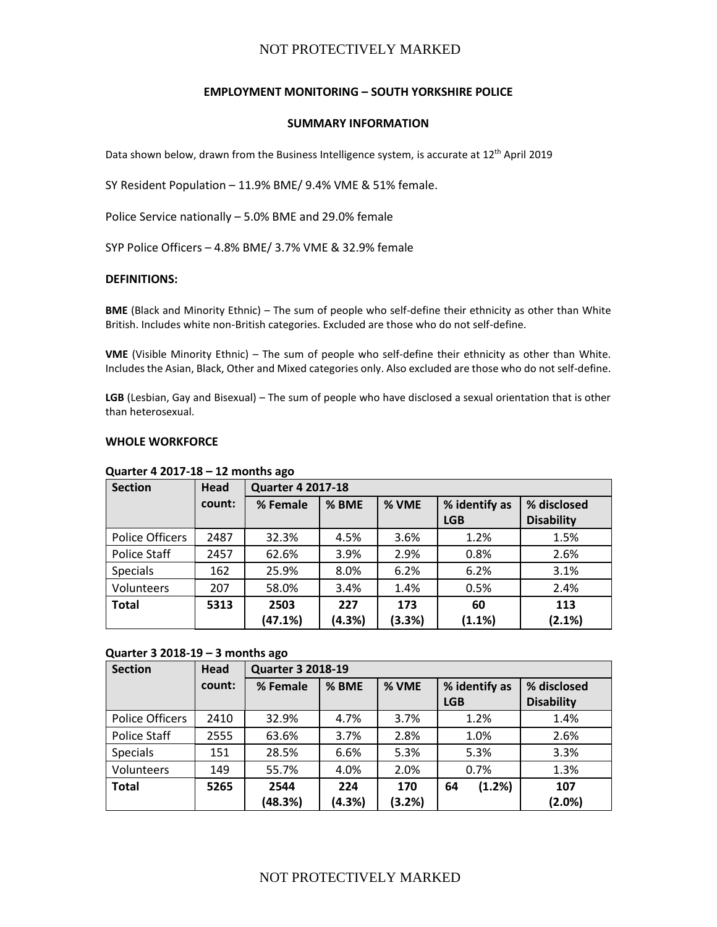## **EMPLOYMENT MONITORING – SOUTH YORKSHIRE POLICE**

#### **SUMMARY INFORMATION**

Data shown below, drawn from the Business Intelligence system, is accurate at 12<sup>th</sup> April 2019

SY Resident Population – 11.9% BME/ 9.4% VME & 51% female.

Police Service nationally – 5.0% BME and 29.0% female

SYP Police Officers – 4.8% BME/ 3.7% VME & 32.9% female

#### **DEFINITIONS:**

**BME** (Black and Minority Ethnic) – The sum of people who self-define their ethnicity as other than White British. Includes white non-British categories. Excluded are those who do not self-define.

**VME** (Visible Minority Ethnic) – The sum of people who self-define their ethnicity as other than White. Includes the Asian, Black, Other and Mixed categories only. Also excluded are those who do not self-define.

**LGB** (Lesbian, Gay and Bisexual) – The sum of people who have disclosed a sexual orientation that is other than heterosexual.

#### **WHOLE WORKFORCE**

| <b>Section</b>         | Head   | <b>Quarter 4 2017-18</b> |                                 |        |            |                   |  |  |
|------------------------|--------|--------------------------|---------------------------------|--------|------------|-------------------|--|--|
|                        | count: | % Female                 | % BME<br>% VME<br>% identify as |        |            | % disclosed       |  |  |
|                        |        |                          |                                 |        | <b>LGB</b> | <b>Disability</b> |  |  |
| <b>Police Officers</b> | 2487   | 32.3%                    | 4.5%                            | 3.6%   | 1.2%       | 1.5%              |  |  |
| <b>Police Staff</b>    | 2457   | 62.6%                    | 3.9%                            | 2.9%   | 0.8%       | 2.6%              |  |  |
| Specials               | 162    | 25.9%                    | 8.0%                            | 6.2%   | 6.2%       | 3.1%              |  |  |
| Volunteers             | 207    | 58.0%                    | 3.4%                            | 1.4%   | 0.5%       | 2.4%              |  |  |
| <b>Total</b>           | 5313   | 2503                     | 227                             | 173    | 60         | 113               |  |  |
|                        |        | (47.1%)                  | (4.3%)                          | (3.3%) | (1.1%)     | (2.1%)            |  |  |

### **Quarter 4 2017-18 – 12 months ago**

#### **Quarter 3 2018-19 – 3 months ago**

| <b>Section</b>         | Head   | <b>Quarter 3 2018-19</b> |        |        |               |                   |  |  |
|------------------------|--------|--------------------------|--------|--------|---------------|-------------------|--|--|
|                        | count: | % Female                 | % BME  | % VME  | % identify as | % disclosed       |  |  |
|                        |        |                          |        |        | <b>LGB</b>    | <b>Disability</b> |  |  |
| <b>Police Officers</b> | 2410   | 32.9%                    | 4.7%   | 3.7%   | 1.2%          | 1.4%              |  |  |
| Police Staff           | 2555   | 63.6%                    | 3.7%   | 2.8%   | 1.0%          | 2.6%              |  |  |
| <b>Specials</b>        | 151    | 28.5%                    | 6.6%   | 5.3%   | 5.3%          | 3.3%              |  |  |
| Volunteers             | 149    | 55.7%                    | 4.0%   | 2.0%   | 0.7%          | 1.3%              |  |  |
| <b>Total</b>           | 5265   | 2544                     | 224    | 170    | (1.2%)<br>64  | 107               |  |  |
|                        |        | (48.3%)                  | (4.3%) | (3.2%) |               | $(2.0\%)$         |  |  |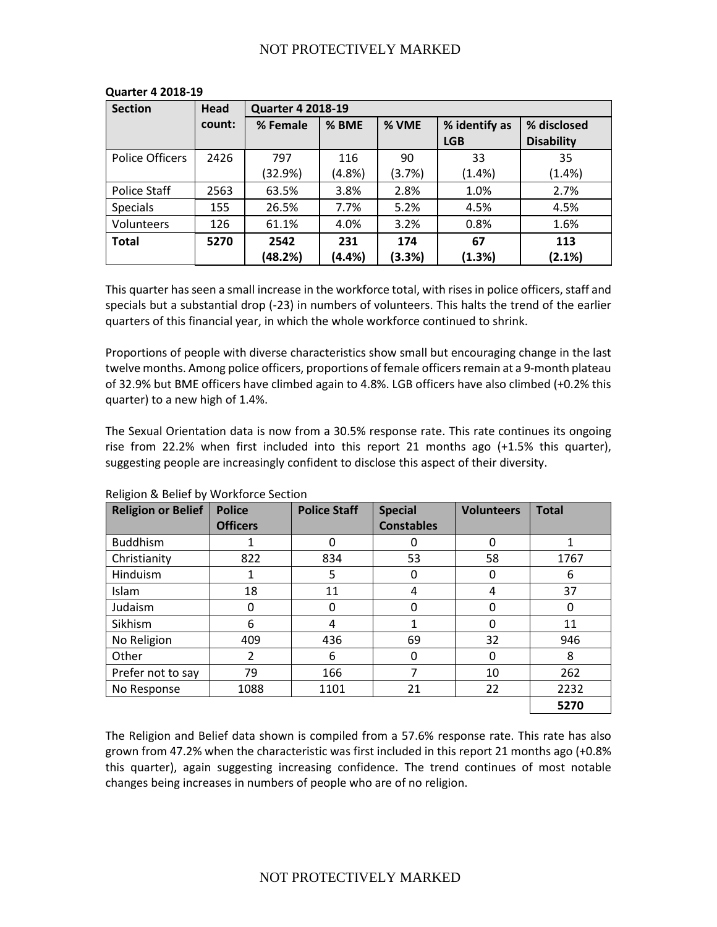| <b>Section</b>  | Head   | <b>Quarter 4 2018-19</b> |        |        |               |                   |  |
|-----------------|--------|--------------------------|--------|--------|---------------|-------------------|--|
|                 | count: | % Female                 | % BME  | % VME  | % identify as | % disclosed       |  |
|                 |        |                          |        |        | <b>LGB</b>    | <b>Disability</b> |  |
| Police Officers | 2426   | 797                      | 116    | 90     | 33            | 35                |  |
|                 |        | (32.9%)                  | (4.8%) | (3.7%) | (1.4%)        | (1.4%)            |  |
| Police Staff    | 2563   | 63.5%                    | 3.8%   | 2.8%   | 1.0%          | 2.7%              |  |
| <b>Specials</b> | 155    | 26.5%                    | 7.7%   | 5.2%   | 4.5%          | 4.5%              |  |
| Volunteers      | 126    | 61.1%                    | 4.0%   | 3.2%   | 0.8%          | 1.6%              |  |
| <b>Total</b>    | 5270   | 2542                     | 231    | 174    | 67            | 113               |  |
|                 |        | (48.2%)                  | (4.4%) | (3.3%) | (1.3%)        | (2.1%)            |  |

### **Quarter 4 2018-19**

This quarter has seen a small increase in the workforce total, with rises in police officers, staff and specials but a substantial drop (-23) in numbers of volunteers. This halts the trend of the earlier quarters of this financial year, in which the whole workforce continued to shrink.

Proportions of people with diverse characteristics show small but encouraging change in the last twelve months. Among police officers, proportions of female officers remain at a 9-month plateau of 32.9% but BME officers have climbed again to 4.8%. LGB officers have also climbed (+0.2% this quarter) to a new high of 1.4%.

The Sexual Orientation data is now from a 30.5% response rate. This rate continues its ongoing rise from 22.2% when first included into this report 21 months ago (+1.5% this quarter), suggesting people are increasingly confident to disclose this aspect of their diversity.

| <b>Religion or Belief</b> | <b>Police</b>   | <b>Police Staff</b> | <b>Special</b>    | <b>Volunteers</b> | <b>Total</b> |
|---------------------------|-----------------|---------------------|-------------------|-------------------|--------------|
|                           | <b>Officers</b> |                     | <b>Constables</b> |                   |              |
| <b>Buddhism</b>           |                 | 0                   | 0                 | 0                 | 1            |
| Christianity              | 822             | 834                 | 53                | 58                | 1767         |
| Hinduism                  | 1               | 5                   | 0                 | 0                 | 6            |
| <b>Islam</b>              | 18              | 11                  | 4                 | 4                 | 37           |
| Judaism                   | 0               | 0                   | 0                 | U                 |              |
| Sikhism                   | 6               | 4                   | 1                 | 0                 | 11           |
| No Religion               | 409             | 436                 | 69                | 32                | 946          |
| Other                     | 2               | 6                   | 0                 | 0                 | 8            |
| Prefer not to say         | 79              | 166                 | 7                 | 10                | 262          |
| No Response               | 1088            | 1101                | 21                | 22                | 2232         |
|                           |                 |                     |                   |                   | 5270         |

Religion & Belief by Workforce Section

The Religion and Belief data shown is compiled from a 57.6% response rate. This rate has also grown from 47.2% when the characteristic was first included in this report 21 months ago (+0.8% this quarter), again suggesting increasing confidence. The trend continues of most notable changes being increases in numbers of people who are of no religion.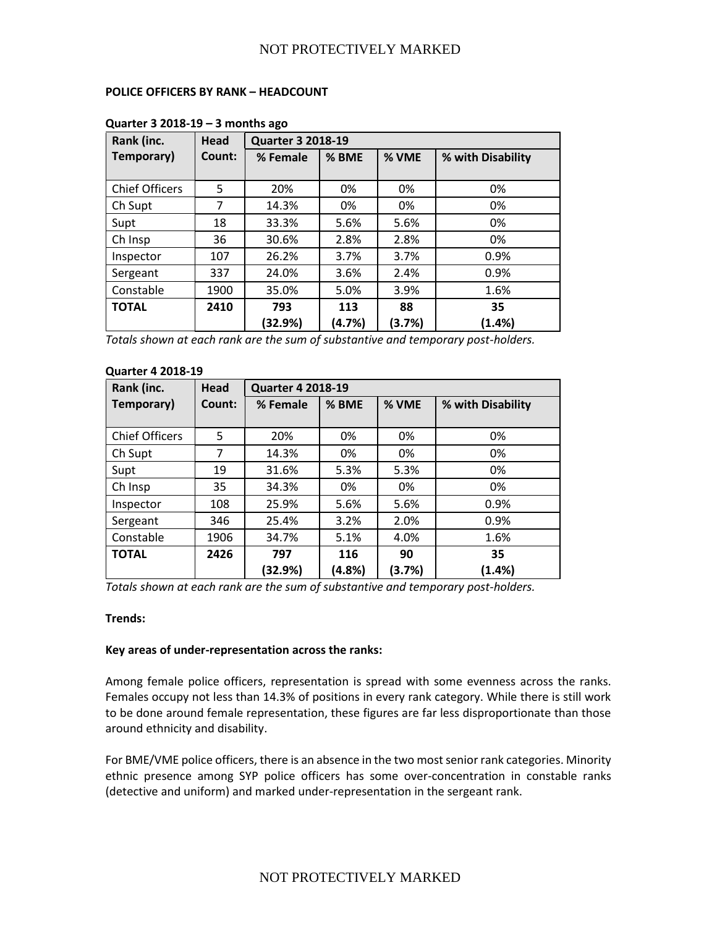## **POLICE OFFICERS BY RANK – HEADCOUNT**

| Rank (inc.            | Head   |                | <b>Quarter 3 2018-19</b> |              |                   |  |  |  |  |
|-----------------------|--------|----------------|--------------------------|--------------|-------------------|--|--|--|--|
| Temporary)            | Count: | % Female       | % BME                    | % VME        | % with Disability |  |  |  |  |
| <b>Chief Officers</b> | 5      | 20%            | 0%                       | 0%           | 0%                |  |  |  |  |
| Ch Supt               | 7      | 14.3%          | 0%                       | 0%           | 0%                |  |  |  |  |
| Supt                  | 18     | 33.3%          | 5.6%                     | 5.6%         | 0%                |  |  |  |  |
| Ch Insp               | 36     | 30.6%          | 2.8%                     | 2.8%         | 0%                |  |  |  |  |
| Inspector             | 107    | 26.2%          | 3.7%                     | 3.7%         | 0.9%              |  |  |  |  |
| Sergeant              | 337    | 24.0%          | 3.6%                     | 2.4%         | 0.9%              |  |  |  |  |
| Constable             | 1900   | 35.0%          | 5.0%                     | 3.9%         | 1.6%              |  |  |  |  |
| <b>TOTAL</b>          | 2410   | 793<br>(32.9%) | 113<br>(4.7%)            | 88<br>(3.7%) | 35<br>$(1.4\%)$   |  |  |  |  |

## **Quarter 3 2018-19 – 3 months ago**

*Totals shown at each rank are the sum of substantive and temporary post-holders.*

# **Quarter 4 2018-19**

| Rank (inc.            | Head   | <b>Quarter 4 2018-19</b> |        |        |                   |  |  |  |
|-----------------------|--------|--------------------------|--------|--------|-------------------|--|--|--|
| Temporary)            | Count: | % Female                 | % BME  | % VME  | % with Disability |  |  |  |
|                       |        |                          |        |        |                   |  |  |  |
| <b>Chief Officers</b> | 5      | 20%                      | 0%     | 0%     | 0%                |  |  |  |
| Ch Supt               | 7      | 14.3%                    | 0%     | 0%     | 0%                |  |  |  |
| Supt                  | 19     | 31.6%                    | 5.3%   | 5.3%   | 0%                |  |  |  |
| Ch Insp               | 35     | 34.3%                    | 0%     | 0%     | 0%                |  |  |  |
| Inspector             | 108    | 25.9%                    | 5.6%   | 5.6%   | 0.9%              |  |  |  |
| Sergeant              | 346    | 25.4%                    | 3.2%   | 2.0%   | 0.9%              |  |  |  |
| Constable             | 1906   | 34.7%                    | 5.1%   | 4.0%   | 1.6%              |  |  |  |
| <b>TOTAL</b>          | 2426   | 797                      | 116    | 90     | 35                |  |  |  |
|                       |        | (32.9%)                  | (4.8%) | (3.7%) | (1.4%)            |  |  |  |

*Totals shown at each rank are the sum of substantive and temporary post-holders.*

#### **Trends:**

### **Key areas of under-representation across the ranks:**

Among female police officers, representation is spread with some evenness across the ranks. Females occupy not less than 14.3% of positions in every rank category. While there is still work to be done around female representation, these figures are far less disproportionate than those around ethnicity and disability.

For BME/VME police officers, there is an absence in the two most senior rank categories. Minority ethnic presence among SYP police officers has some over-concentration in constable ranks (detective and uniform) and marked under-representation in the sergeant rank.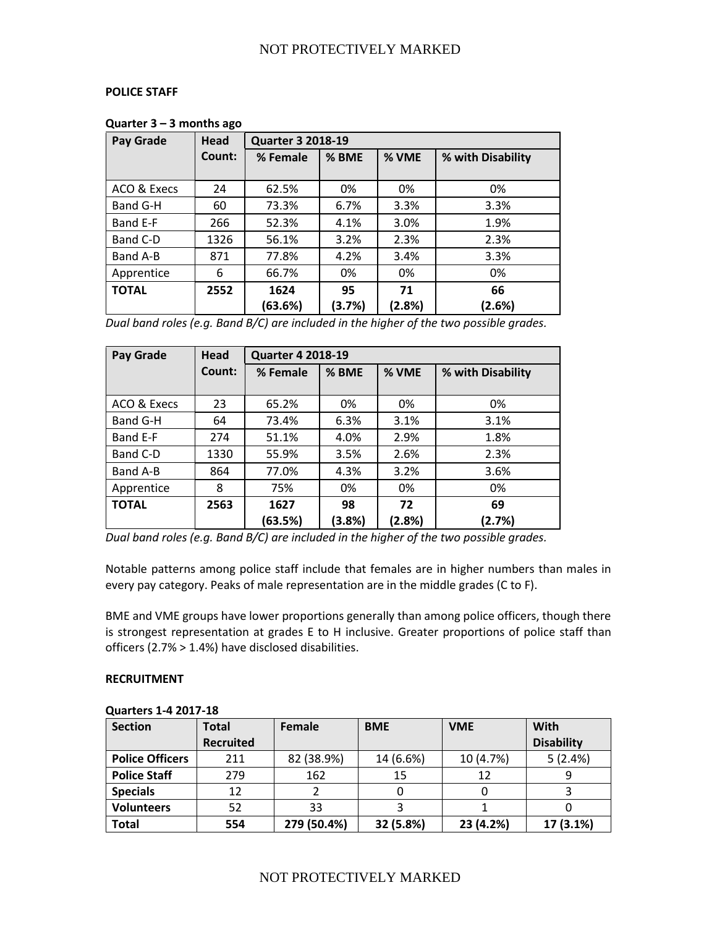## **POLICE STAFF**

| Pay Grade    | Head   |          | <b>Quarter 3 2018-19</b> |        |                   |  |  |  |  |
|--------------|--------|----------|--------------------------|--------|-------------------|--|--|--|--|
|              | Count: | % Female | % BME                    | % VME  | % with Disability |  |  |  |  |
|              |        |          |                          |        |                   |  |  |  |  |
| ACO & Execs  | 24     | 62.5%    | 0%                       | 0%     | 0%                |  |  |  |  |
| Band G-H     | 60     | 73.3%    | 6.7%                     | 3.3%   | 3.3%              |  |  |  |  |
| Band E-F     | 266    | 52.3%    | 4.1%                     | 3.0%   | 1.9%              |  |  |  |  |
| Band C-D     | 1326   | 56.1%    | 3.2%                     | 2.3%   | 2.3%              |  |  |  |  |
| Band A-B     | 871    | 77.8%    | 4.2%                     | 3.4%   | 3.3%              |  |  |  |  |
| Apprentice   | 6      | 66.7%    | 0%                       | 0%     | 0%                |  |  |  |  |
| <b>TOTAL</b> | 2552   | 1624     | 95                       | 71     | 66                |  |  |  |  |
|              |        | (63.6%)  | (3.7%)                   | (2.8%) | (2.6%)            |  |  |  |  |

#### **Quarter 3 – 3 months ago**

*Dual band roles (e.g. Band B/C) are included in the higher of the two possible grades.*

| Pay Grade    | <b>Head</b> | <b>Quarter 4 2018-19</b> |        |        |                   |  |  |  |
|--------------|-------------|--------------------------|--------|--------|-------------------|--|--|--|
|              | Count:      | % Female                 | % BME  | % VME  | % with Disability |  |  |  |
|              |             |                          |        |        |                   |  |  |  |
| ACO & Execs  | 23          | 65.2%                    | 0%     | 0%     | 0%                |  |  |  |
| Band G-H     | 64          | 73.4%                    | 6.3%   | 3.1%   | 3.1%              |  |  |  |
| Band E-F     | 274         | 51.1%                    | 4.0%   | 2.9%   | 1.8%              |  |  |  |
| Band C-D     | 1330        | 55.9%                    | 3.5%   | 2.6%   | 2.3%              |  |  |  |
| Band A-B     | 864         | 77.0%                    | 4.3%   | 3.2%   | 3.6%              |  |  |  |
| Apprentice   | 8           | 75%                      | 0%     | 0%     | 0%                |  |  |  |
| <b>TOTAL</b> | 2563        | 1627                     | 98     | 72     | 69                |  |  |  |
|              |             | (63.5%)                  | (3.8%) | (2.8%) | (2.7%)            |  |  |  |

*Dual band roles (e.g. Band B/C) are included in the higher of the two possible grades.*

Notable patterns among police staff include that females are in higher numbers than males in every pay category. Peaks of male representation are in the middle grades (C to F).

BME and VME groups have lower proportions generally than among police officers, though there is strongest representation at grades E to H inclusive. Greater proportions of police staff than officers (2.7% > 1.4%) have disclosed disabilities.

### **RECRUITMENT**

| <b>Section</b>         | Total            | <b>Female</b> | <b>BME</b><br><b>VME</b> |           | <b>With</b>       |  |  |  |
|------------------------|------------------|---------------|--------------------------|-----------|-------------------|--|--|--|
|                        | <b>Recruited</b> |               |                          |           | <b>Disability</b> |  |  |  |
| <b>Police Officers</b> | 211              | 82 (38.9%)    | 14 (6.6%)                | 10 (4.7%) | 5(2.4%)           |  |  |  |
| <b>Police Staff</b>    | 279              | 162           | 15                       | 12        |                   |  |  |  |
| <b>Specials</b>        | 12               |               |                          |           |                   |  |  |  |
| <b>Volunteers</b>      | 52               | 33            |                          |           |                   |  |  |  |
| <b>Total</b>           | 554              | 279 (50.4%)   | 32 (5.8%)                | 23 (4.2%) | 17 (3.1%)         |  |  |  |

#### **Quarters 1-4 2017-18**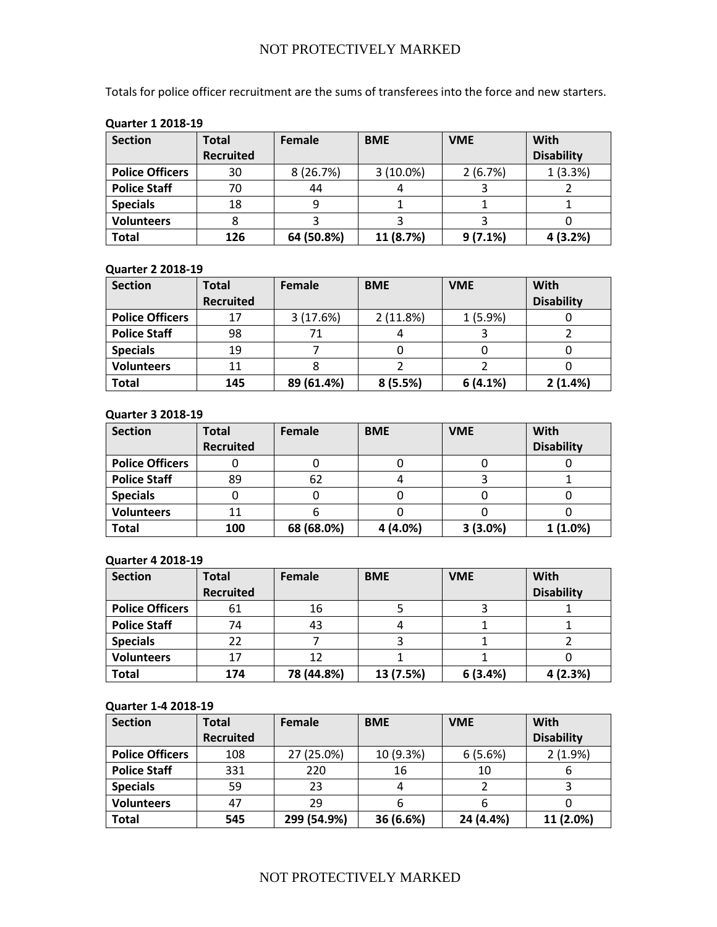Totals for police officer recruitment are the sums of transferees into the force and new starters.

| <b>Section</b>         | Total            | <b>BME</b><br>Female |             | <b>VME</b> | With              |  |  |
|------------------------|------------------|----------------------|-------------|------------|-------------------|--|--|
|                        | <b>Recruited</b> |                      |             |            | <b>Disability</b> |  |  |
| <b>Police Officers</b> | 30               | 8(26.7%)             | $3(10.0\%)$ | 2(6.7%)    | 1(3.3%)           |  |  |
| <b>Police Staff</b>    | 70               | 44                   |             |            |                   |  |  |
| <b>Specials</b>        | 18               |                      |             |            |                   |  |  |
| <b>Volunteers</b>      |                  |                      |             |            |                   |  |  |
| <b>Total</b>           | 126              | 64 (50.8%)           | 11 (8.7%)   | 9(7.1%)    | 4 (3.2%)          |  |  |

# **Quarter 1 2018-19**

#### **Quarter 2 2018-19**

| <b>Section</b>         | Total            | Female     | <b>BME</b> | <b>VME</b> | With              |
|------------------------|------------------|------------|------------|------------|-------------------|
|                        | <b>Recruited</b> |            |            |            | <b>Disability</b> |
| <b>Police Officers</b> | 17               | 3(17.6%)   | 2(11.8%)   | 1(5.9%)    |                   |
| <b>Police Staff</b>    | 98               |            |            |            |                   |
| <b>Specials</b>        | 19               |            |            |            |                   |
| <b>Volunteers</b>      | 11               |            |            |            |                   |
| <b>Total</b>           | 145              | 89 (61.4%) | 8(5.5%)    | 6(4.1%)    | 2(1.4%)           |

#### **Quarter 3 2018-19**

| <b>Section</b>         | Total            | Female     | <b>BME</b> | <b>VME</b> | <b>With</b>       |
|------------------------|------------------|------------|------------|------------|-------------------|
|                        | <b>Recruited</b> |            |            |            | <b>Disability</b> |
| <b>Police Officers</b> |                  |            |            |            |                   |
| <b>Police Staff</b>    | 89               | 62         |            |            |                   |
| <b>Specials</b>        |                  |            |            |            |                   |
| <b>Volunteers</b>      |                  |            |            |            |                   |
| <b>Total</b>           | 100              | 68 (68.0%) | 4 (4.0%)   | 3(3.0%)    | 1(1.0%)           |

## **Quarter 4 2018-19**

| <b>Section</b>         | Total            | Female     | <b>BME</b> | <b>VME</b> | <b>With</b>       |
|------------------------|------------------|------------|------------|------------|-------------------|
|                        | <b>Recruited</b> |            |            |            | <b>Disability</b> |
| <b>Police Officers</b> | 61               | 16         |            |            |                   |
| <b>Police Staff</b>    | 74               | 43         |            |            |                   |
| <b>Specials</b>        | 22               |            |            |            |                   |
| <b>Volunteers</b>      | 17               | 12         |            |            |                   |
| <b>Total</b>           | 174              | 78 (44.8%) | 13 (7.5%)  | 6(3.4%)    | 4(2.3%)           |

#### **Quarter 1-4 2018-19**

| <b>Section</b>         | Total            | Female      | <b>BME</b> | <b>VME</b> | With              |
|------------------------|------------------|-------------|------------|------------|-------------------|
|                        | <b>Recruited</b> |             |            |            | <b>Disability</b> |
| <b>Police Officers</b> | 108              | 27 (25.0%)  | 10 (9.3%)  | 6(5.6%)    | 2(1.9%)           |
| <b>Police Staff</b>    | 331              | 220         | 16         | 10         | b                 |
| <b>Specials</b>        | 59               | 23          | 4          |            |                   |
| <b>Volunteers</b>      | 47               | 29          | 6          |            |                   |
| <b>Total</b>           | 545              | 299 (54.9%) | 36 (6.6%)  | 24 (4.4%)  | 11 (2.0%)         |

# NOT PROTECTIVELY MARKED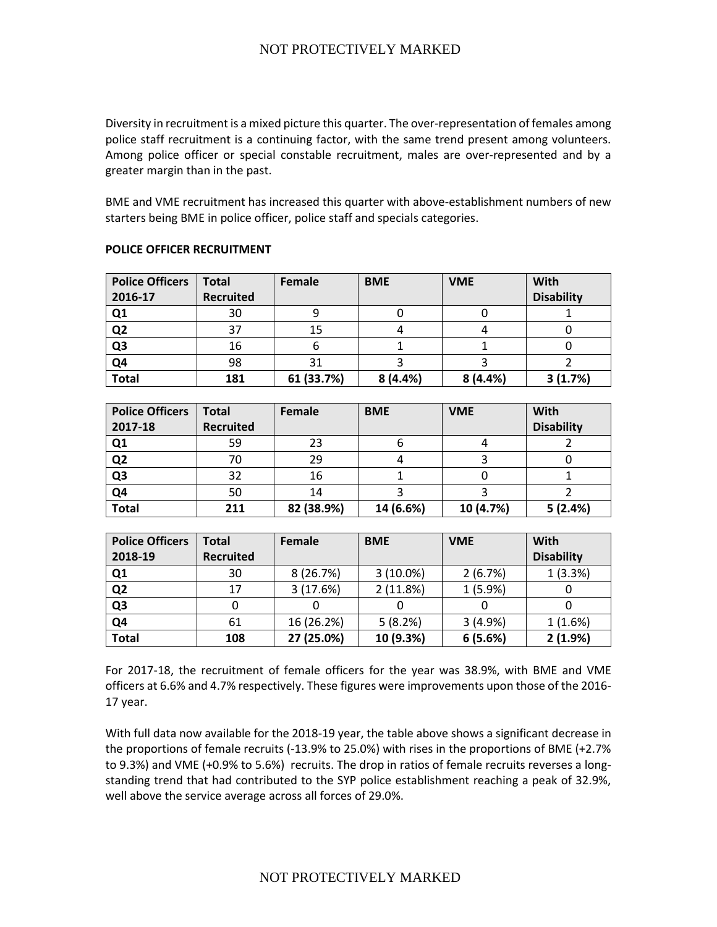Diversity in recruitment is a mixed picture this quarter. The over-representation of females among police staff recruitment is a continuing factor, with the same trend present among volunteers. Among police officer or special constable recruitment, males are over-represented and by a greater margin than in the past.

BME and VME recruitment has increased this quarter with above-establishment numbers of new starters being BME in police officer, police staff and specials categories.

| <b>Police Officers</b><br>2016-17 | <b>Total</b><br><b>Recruited</b> | Female     | <b>BME</b> | <b>VME</b> | <b>With</b><br><b>Disability</b> |
|-----------------------------------|----------------------------------|------------|------------|------------|----------------------------------|
| Q1                                | 30                               |            |            |            |                                  |
| Q <sub>2</sub>                    | 37                               | 15         |            |            |                                  |
| Q <sub>3</sub>                    | 16                               |            |            |            |                                  |
| Q4                                | 98                               | 31         |            |            |                                  |
| <b>Total</b>                      | 181                              | 61 (33.7%) | 8(4.4%)    | 8(4.4%)    | 3(1.7%)                          |

#### **POLICE OFFICER RECRUITMENT**

| <b>Police Officers</b> | <b>Total</b>     | Female     | <b>BME</b> | <b>VME</b> | With              |
|------------------------|------------------|------------|------------|------------|-------------------|
| 2017-18                | <b>Recruited</b> |            |            |            | <b>Disability</b> |
| Q <sub>1</sub>         | 59               | 23         |            |            |                   |
| Q <sub>2</sub>         | 70               | 29         |            |            |                   |
| Q <sub>3</sub>         | 32               | 16         |            |            |                   |
| Q <sub>4</sub>         | 50               | 14         |            |            |                   |
| <b>Total</b>           | 211              | 82 (38.9%) | 14 (6.6%)  | 10 (4.7%)  | 5(2.4%)           |

| <b>Police Officers</b> | Total            | Female     | <b>BME</b>  | <b>VME</b> | With              |
|------------------------|------------------|------------|-------------|------------|-------------------|
| 2018-19                | <b>Recruited</b> |            |             |            | <b>Disability</b> |
| Q1                     | 30               | 8(26.7%)   | $3(10.0\%)$ | 2(6.7%)    | 1(3.3%)           |
| Q <sub>2</sub>         | 17               | 3(17.6%)   | 2(11.8%)    | 1(5.9%)    |                   |
| Q <sub>3</sub>         |                  |            |             |            |                   |
| Q4                     | 61               | 16 (26.2%) | 5(8.2%)     | 3(4.9%)    | 1(1.6%)           |
| <b>Total</b>           | 108              | 27 (25.0%) | 10 (9.3%)   | 6(5.6%)    | 2(1.9%)           |

For 2017-18, the recruitment of female officers for the year was 38.9%, with BME and VME officers at 6.6% and 4.7% respectively. These figures were improvements upon those of the 2016- 17 year.

With full data now available for the 2018-19 year, the table above shows a significant decrease in the proportions of female recruits (-13.9% to 25.0%) with rises in the proportions of BME (+2.7% to 9.3%) and VME (+0.9% to 5.6%) recruits. The drop in ratios of female recruits reverses a longstanding trend that had contributed to the SYP police establishment reaching a peak of 32.9%, well above the service average across all forces of 29.0%.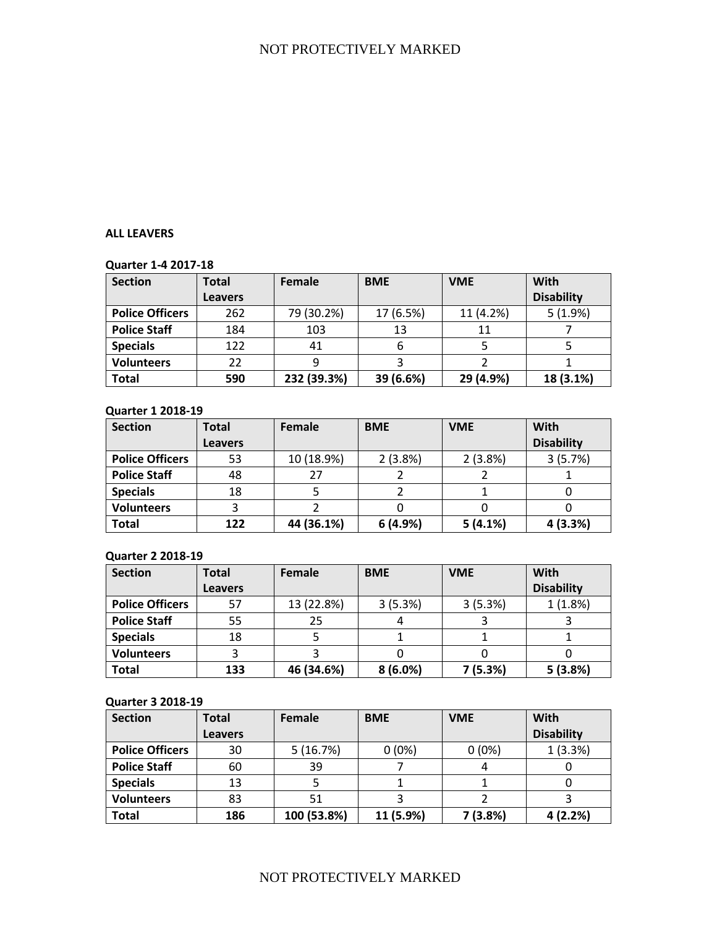## **ALL LEAVERS**

## **Quarter 1-4 2017-18**

| <b>Section</b>         | Total          | Female      | <b>BME</b> | <b>VME</b> | With              |
|------------------------|----------------|-------------|------------|------------|-------------------|
|                        | <b>Leavers</b> |             |            |            | <b>Disability</b> |
| <b>Police Officers</b> | 262            | 79 (30.2%)  | 17 (6.5%)  | 11 (4.2%)  | 5(1.9%)           |
| <b>Police Staff</b>    | 184            | 103         | 13         | 11         |                   |
| <b>Specials</b>        | 122            | 41          | 6          |            |                   |
| <b>Volunteers</b>      | 22             |             |            |            |                   |
| <b>Total</b>           | 590            | 232 (39.3%) | 39 (6.6%)  | 29 (4.9%)  | 18 (3.1%)         |

### **Quarter 1 2018-19**

| <b>Section</b>         | Total          | Female     | <b>BME</b> | <b>VME</b> | With              |
|------------------------|----------------|------------|------------|------------|-------------------|
|                        | <b>Leavers</b> |            |            |            | <b>Disability</b> |
| <b>Police Officers</b> | 53             | 10 (18.9%) | 2(3.8%)    | 2(3.8%)    | 3(5.7%)           |
| <b>Police Staff</b>    | 48             | 27         |            |            |                   |
| <b>Specials</b>        | 18             |            |            |            |                   |
| <b>Volunteers</b>      |                |            |            |            |                   |
| <b>Total</b>           | 122            | 44 (36.1%) | 6(4.9%)    | 5(4.1%)    | 4(3.3%)           |

# **Quarter 2 2018-19**

| <b>Section</b>         | Total          | Female     | <b>BME</b> | <b>VME</b> | With              |
|------------------------|----------------|------------|------------|------------|-------------------|
|                        | <b>Leavers</b> |            |            |            | <b>Disability</b> |
| <b>Police Officers</b> | 57             | 13 (22.8%) | 3(5.3%)    | 3(5.3%)    | 1(1.8%)           |
| <b>Police Staff</b>    | 55             | 25         |            |            |                   |
| <b>Specials</b>        | 18             |            |            |            |                   |
| <b>Volunteers</b>      |                |            |            |            |                   |
| <b>Total</b>           | 133            | 46 (34.6%) | 8(6.0%)    | 7(5.3%)    | 5(3.8%)           |

### **Quarter 3 2018-19**

| <b>Section</b>         | Total          | Female      | <b>BME</b> | <b>VME</b> | With              |
|------------------------|----------------|-------------|------------|------------|-------------------|
|                        | <b>Leavers</b> |             |            |            | <b>Disability</b> |
| <b>Police Officers</b> | 30             | 5(16.7%)    | $0(0\%)$   | $0(0\%)$   | 1(3.3%)           |
| <b>Police Staff</b>    | 60             | 39          |            |            |                   |
| <b>Specials</b>        | 13             |             |            |            |                   |
| <b>Volunteers</b>      | 83             | 51          |            |            |                   |
| <b>Total</b>           | 186            | 100 (53.8%) | 11 (5.9%)  | 7(3.8%)    | 4(2.2%)           |

# NOT PROTECTIVELY MARKED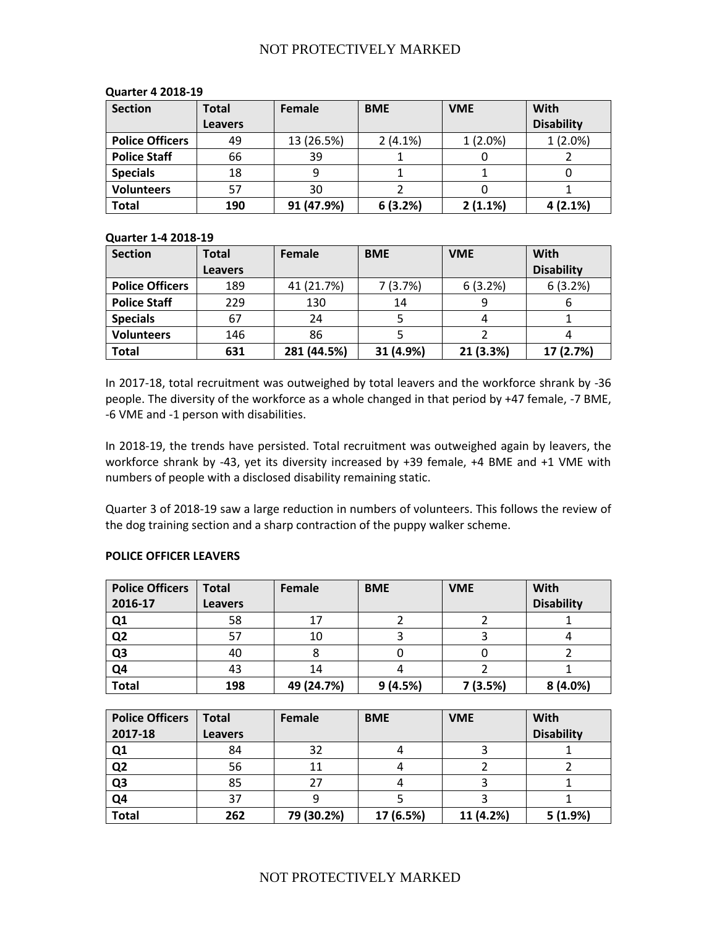| <b>Section</b>         | <b>Total</b>   | Female     | <b>BME</b> | <b>VME</b> | With              |
|------------------------|----------------|------------|------------|------------|-------------------|
|                        | <b>Leavers</b> |            |            |            | <b>Disability</b> |
| <b>Police Officers</b> | 49             | 13 (26.5%) | $2(4.1\%)$ | 1(2.0%)    | 1(2.0%)           |
| <b>Police Staff</b>    | 66             | 39         |            | U          |                   |
| <b>Specials</b>        | 18             |            |            |            |                   |
| <b>Volunteers</b>      | 57             | 30         |            |            |                   |
| <b>Total</b>           | 190            | 91 (47.9%) | 6(3.2%)    | 2(1.1%)    | 4(2.1%)           |

#### **Quarter 4 2018-19**

## **Quarter 1-4 2018-19**

| <b>Section</b>         | Total          | Female      | <b>BME</b> | <b>VME</b> | With              |
|------------------------|----------------|-------------|------------|------------|-------------------|
|                        | <b>Leavers</b> |             |            |            | <b>Disability</b> |
| <b>Police Officers</b> | 189            | 41 (21.7%)  | 7(3.7%)    | 6(3.2%)    | 6(3.2%)           |
| <b>Police Staff</b>    | 229            | 130         | 14         | 9          |                   |
| <b>Specials</b>        | 67             | 24          |            | 4          |                   |
| <b>Volunteers</b>      | 146            | 86          |            |            |                   |
| <b>Total</b>           | 631            | 281 (44.5%) | 31 (4.9%)  | 21 (3.3%)  | 17 (2.7%)         |

In 2017-18, total recruitment was outweighed by total leavers and the workforce shrank by -36 people. The diversity of the workforce as a whole changed in that period by +47 female, -7 BME, -6 VME and -1 person with disabilities.

In 2018-19, the trends have persisted. Total recruitment was outweighed again by leavers, the workforce shrank by -43, yet its diversity increased by +39 female, +4 BME and +1 VME with numbers of people with a disclosed disability remaining static.

Quarter 3 of 2018-19 saw a large reduction in numbers of volunteers. This follows the review of the dog training section and a sharp contraction of the puppy walker scheme.

#### **POLICE OFFICER LEAVERS**

| <b>Police Officers</b> | Total          | Female     | <b>BME</b> | <b>VME</b> | With              |
|------------------------|----------------|------------|------------|------------|-------------------|
| 2016-17                | <b>Leavers</b> |            |            |            | <b>Disability</b> |
| Q1                     | 58             | 17         |            |            |                   |
| Q <sub>2</sub>         | 57             | 10         |            |            |                   |
| Q <sub>3</sub>         | 40             |            |            |            |                   |
| Q4                     | 43             | 14         |            |            |                   |
| <b>Total</b>           | 198            | 49 (24.7%) | 9(4.5%)    | 7(3.5%)    | 8(4.0%)           |

| <b>Police Officers</b> | <b>Total</b>   | Female     | <b>BME</b> | <b>VME</b> | With              |
|------------------------|----------------|------------|------------|------------|-------------------|
| 2017-18                | <b>Leavers</b> |            |            |            | <b>Disability</b> |
| Q <sub>1</sub>         | 84             | 32         |            |            |                   |
| Q2                     | 56             |            |            |            |                   |
| Q <sub>3</sub>         | 85             | 27         |            |            |                   |
| Q <sub>4</sub>         | 37             |            |            |            |                   |
| <b>Total</b>           | 262            | 79 (30.2%) | 17 (6.5%)  | 11 (4.2%)  | 5(1.9%)           |

# NOT PROTECTIVELY MARKED